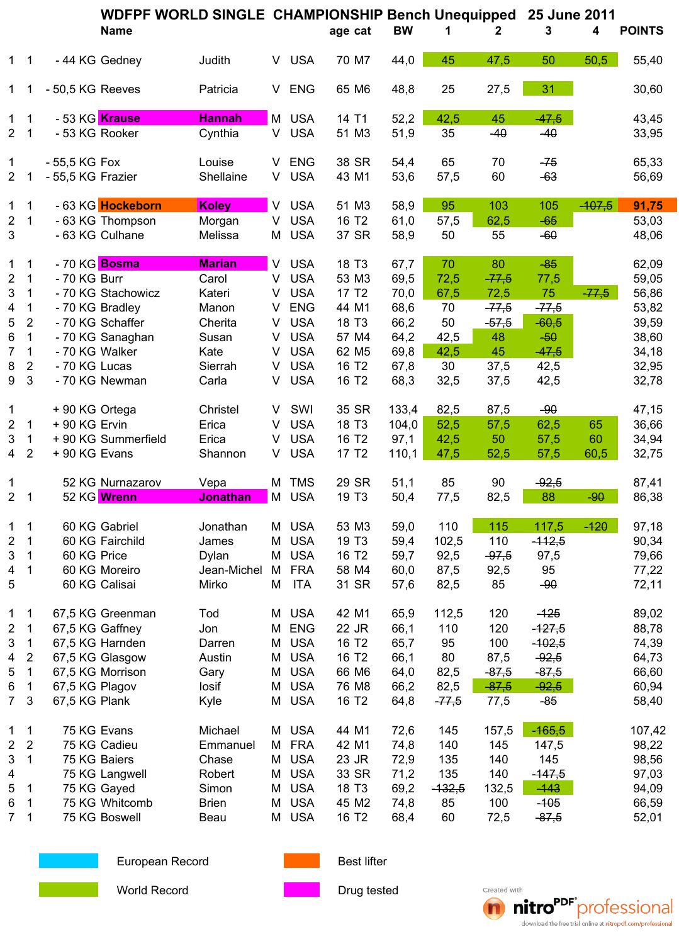|                         |                              |                   | WDFPF WORLD SINGLE CHAMPIONSHIP Bench Unequipped |                   |        |                          |                            |                   |              |                | 25 June 2011    |                    |          |                |
|-------------------------|------------------------------|-------------------|--------------------------------------------------|-------------------|--------|--------------------------|----------------------------|-------------------|--------------|----------------|-----------------|--------------------|----------|----------------|
|                         |                              |                   | Name                                             |                   |        |                          | age cat                    |                   | <b>BW</b>    | 1              | 2               | 3                  | 4        | <b>POINTS</b>  |
|                         | $1 \quad 1$                  |                   | - 44 KG Gedney                                   | Judith            |        | V USA                    |                            | 70 M7             | 44,0         | 45             | 47,5            | 50                 | 50,5     | 55,40          |
| 1                       | $\overline{1}$               | - 50,5 KG Reeves  |                                                  | Patricia          |        | V ENG                    |                            | 65 M6             | 48,8         | 25             | 27,5            | 31                 |          | 30,60          |
| $\mathbf 1$             | 1                            |                   | - 53 KG Krause                                   | <b>Hannah</b>     |        | M USA                    | 14 T1                      |                   | 52,2         | 42,5           | 45              | $-47,5$            |          | 43,45          |
| $\overline{2}$          | $\overline{\phantom{0}}$ 1   |                   | - 53 KG Rooker                                   | Cynthia           | V.     | <b>USA</b>               |                            | 51 M3             | 51,9         | 35             | $-40$           | $-40$              |          | 33,95          |
| 1                       |                              | - 55,5 KG Fox     |                                                  | Louise            |        | V ENG                    |                            | 38 SR             | 54,4         | 65             | 70              | $-75$              |          | 65,33          |
| $\overline{2}$          |                              | - 55,5 KG Frazier |                                                  | Shellaine         | V      | <b>USA</b>               |                            | 43 M1             | 53,6         | 57,5           | 60              | $-63$              |          | 56,69          |
| 1                       | 1                            |                   | - 63 KG <mark>Hockeborn</mark>                   | <b>Koley</b>      | V.     | <b>USA</b>               |                            | 51 M3             | 58,9         | 95             | 103             | 105                | $-107,5$ | 91,75          |
| $\sqrt{2}$<br>3         | $\mathbf 1$                  |                   | - 63 KG Thompson<br>- 63 KG Culhane              | Morgan<br>Melissa | V      | <b>USA</b><br>M USA      | 16 T <sub>2</sub>          | 37 SR             | 61,0<br>58,9 | 57,5<br>50     | 62,5<br>55      | $-65$<br>$-60$     |          | 53,03<br>48,06 |
| 1                       | 1                            |                   | - 70 KG Bosma                                    | <b>Marian</b>     |        | V USA                    | 18 T <sub>3</sub>          |                   | 67,7         | 70             | 80              | $-85$              |          | 62,09          |
| $\overline{\mathbf{c}}$ | 1                            | - 70 KG Burr      |                                                  | Carol             | V.     | <b>USA</b>               |                            | 53 M3             | 69,5         | 72,5           | $-77,5$         | 77,5               |          | 59,05          |
| 3                       | 1<br>$\mathbf 1$             |                   | - 70 KG Stachowicz<br>- 70 KG Bradley            | Kateri<br>Manon   | V      | <b>USA</b><br>V ENG      | 17 T <sub>2</sub><br>44 M1 |                   | 70,0         | 67,5           | 72,5<br>$-77,5$ | 75<br>$-77,5$      | $-77,5$  | 56,86<br>53,82 |
| 4<br>5                  | $\overline{2}$               |                   | - 70 KG Schaffer                                 | Cherita           | V      | <b>USA</b>               | 18 T <sub>3</sub>          |                   | 68,6<br>66,2 | 70<br>50       | $-57,5$         | $-60,5$            |          | 39,59          |
| 6                       | $\mathbf 1$                  |                   | - 70 KG Sanaghan                                 | Susan             | V      | <b>USA</b>               |                            | 57 M4             | 64,2         | 42,5           | 48              | $-50$              |          | 38,60          |
| 7                       | $\mathbf 1$                  | - 70 KG Walker    |                                                  | Kate              | V      | <b>USA</b>               |                            | 62 M <sub>5</sub> | 69,8         | 42,5           | 45              | $-47,5$            |          | 34,18          |
| $\,8\,$                 | $\overline{2}$               | - 70 KG Lucas     |                                                  | Sierrah           | V      | <b>USA</b>               | 16 T <sub>2</sub>          |                   | 67,8         | 30             | 37,5            | 42,5               |          | 32,95          |
| 9                       | 3                            |                   | - 70 KG Newman                                   | Carla             | V      | <b>USA</b>               | 16 T <sub>2</sub>          |                   | 68,3         | 32,5           | 37,5            | 42,5               |          | 32,78          |
| 1                       |                              | +90 KG Ortega     |                                                  | Christel          | V      | SWI                      |                            | 35 SR             | 133,4        | 82,5           | 87,5            | $-90$              |          | 47,15          |
| $\overline{2}$          | 1                            | + 90 KG Ervin     |                                                  | Erica             | V      | <b>USA</b>               | 18 T <sub>3</sub>          |                   | 104,0        | 52,5           | 57,5            | 62,5               | 65       | 36,66          |
| 3                       | $\mathbf{1}$                 |                   | + 90 KG Summerfield                              | Erica             | V      | <b>USA</b>               | 16 T <sub>2</sub>          |                   | 97,1         | 42,5           | 50              | 57,5               | 60       | 34,94          |
| $\overline{4}$          | $\sqrt{2}$                   | + 90 KG Evans     |                                                  | Shannon           | V.     | <b>USA</b>               | 17 T <sub>2</sub>          |                   | 110,1        | 47,5           | 52,5            | 57,5               | 60,5     | 32,75          |
| 1                       |                              |                   | 52 KG Nurnazarov                                 | Vepa              |        | M TMS                    |                            | 29 SR             | 51,1         | 85             | 90              | $-92,5$            |          | 87,41          |
| $2^{\circ}$             | $\overline{\phantom{1}}$     |                   | 52 KG Wrenn                                      | <b>Jonathan</b>   |        | M USA                    | 19 T <sub>3</sub>          |                   | 50,4         | 77,5           | 82,5            | 88                 | $-90$    | 86,38          |
| $\mathbf 1$             | $\mathbf 1$                  |                   | 60 KG Gabriel                                    | Jonathan          |        | M USA                    |                            | 53 M3             | 59,0         | 110            | 115             | 117,5              | $-120$   | 97,18          |
| 2                       | 1                            |                   | 60 KG Fairchild                                  | James             | М      | <b>USA</b>               | 19 T <sub>3</sub>          |                   | 59,4         | 102,5          | 110             | $-112,5$           |          | 90,34          |
| 3                       | 1                            | 60 KG Price       |                                                  | Dylan             | M      | <b>USA</b>               | 16 T <sub>2</sub>          |                   | 59,7         | 92,5           | $-97,5$         | 97,5               |          | 79,66          |
| 4                       | 1                            |                   | 60 KG Moreiro                                    | Jean-Michel       | M      | <b>FRA</b>               |                            | 58 M4             | 60,0         | 87,5           | 92,5            | 95                 |          | 77,22          |
| 5                       |                              |                   | 60 KG Calisai                                    | Mirko             | М      | <b>ITA</b>               |                            | 31 SR             | 57,6         | 82,5           | 85              | $-90$              |          | 72,11          |
| 1                       | 1                            |                   | 67,5 KG Greenman                                 | Tod               | M      | <b>USA</b>               | 42 M1                      |                   | 65,9         | 112,5          | 120             | $-125$             |          | 89,02          |
| 2                       | 1                            |                   | 67,5 KG Gaffney                                  | Jon               |        | M ENG                    | 22 JR                      |                   | 66,1         | 110            | 120             | $-127,5$           |          | 88,78          |
| 3                       | 1                            |                   | 67,5 KG Harnden                                  | Darren            | M      | <b>USA</b>               | 16 T <sub>2</sub>          |                   | 65,7         | 95             | 100             | $-102,5$           |          | 74,39          |
| 4<br>5                  | $\overline{\mathbf{c}}$<br>1 |                   | 67,5 KG Glasgow<br>67,5 KG Morrison              | Austin<br>Gary    | Μ<br>М | <b>USA</b><br><b>USA</b> | 16 T <sub>2</sub>          | 66 M6             | 66,1<br>64,0 | 80<br>82,5     | 87,5<br>$-87,5$ | $-92,5$<br>$-87,5$ |          | 64,73<br>66,60 |
| 6                       | 1                            | 67,5 KG Plagov    |                                                  | losif             | М      | <b>USA</b>               |                            | 76 M8             | 66,2         | 82,5           | $-87,5$         | $-92,5$            |          | 60,94          |
| $\overline{7}$          | 3                            | 67,5 KG Plank     |                                                  | Kyle              |        | M USA                    | 16 T <sub>2</sub>          |                   | 64,8         | $-77,5$        | 77,5            | $-85$              |          | 58,40          |
| 1                       | 1                            |                   | 75 KG Evans                                      | Michael           |        | M USA                    | 44 M1                      |                   | 72,6         | 145            | 157,5           | $-165,5$           |          | 107,42         |
| 2                       | $\overline{2}$               |                   | 75 KG Cadieu                                     | Emmanuel          |        | M FRA                    | 42 M1                      |                   | 74,8         | 140            | 145             | 147,5              |          | 98,22          |
| 3                       | 1                            |                   | 75 KG Baiers                                     | Chase             | M      | <b>USA</b>               | 23 JR                      |                   | 72,9         | 135            | 140             | 145                |          | 98,56          |
| 4                       | 1                            |                   | 75 KG Langwell                                   | Robert<br>Simon   | М      | <b>USA</b><br><b>USA</b> | 18 T <sub>3</sub>          | 33 SR             | 71,2         | 135            | 140<br>132,5    | $-147,5$<br>$-143$ |          | 97,03          |
| 5<br>6                  | 1                            |                   | 75 KG Gayed<br>75 KG Whitcomb                    | <b>Brien</b>      | М<br>М | <b>USA</b>               |                            | 45 M2             | 69,2<br>74,8 | $-132,5$<br>85 | 100             | $-105$             |          | 94,09<br>66,59 |
| $\overline{7}$          | 1                            |                   | 75 KG Boswell                                    | Beau              | Μ      | <b>USA</b>               | 16 T <sub>2</sub>          |                   | 68,4         | 60             | 72,5            | $-87,5$            |          | 52,01          |
|                         |                              |                   |                                                  |                   |        |                          |                            |                   |              |                |                 |                    |          |                |



European Record **Best lifter** Best lifter





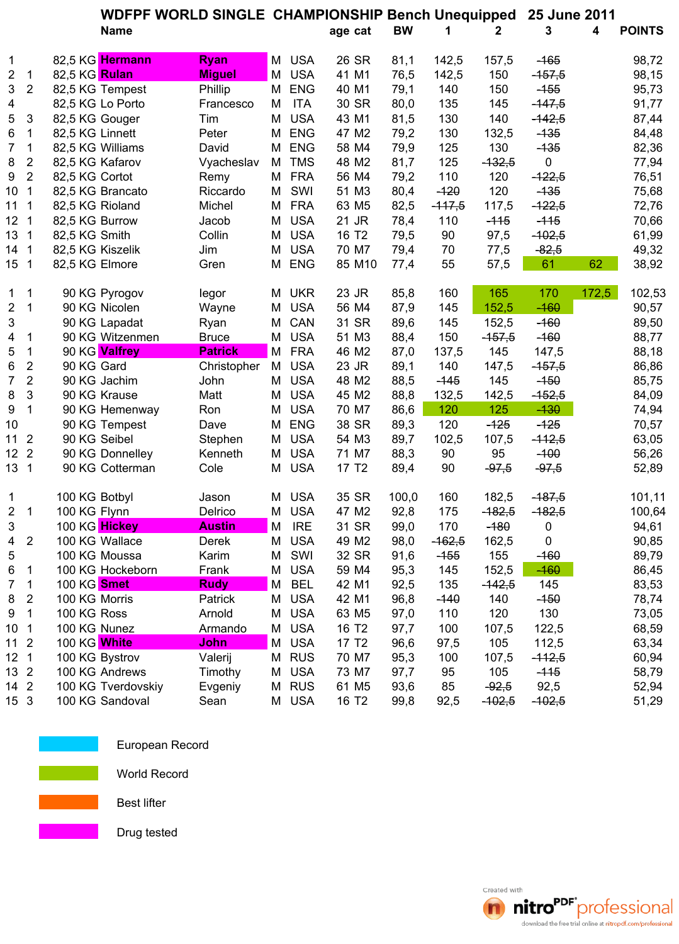|                 |                         |                  | <b>WDFPF WORLD SINGLE CHAMPIONSHIP Bench Unequipped</b> |                |   |            |                   |           |          | 25 June 2011 |           |       |               |
|-----------------|-------------------------|------------------|---------------------------------------------------------|----------------|---|------------|-------------------|-----------|----------|--------------|-----------|-------|---------------|
|                 |                         |                  | <b>Name</b>                                             |                |   |            | age cat           | <b>BW</b> | 1        | 2            | 3         | 4     | <b>POINTS</b> |
| $\mathbf 1$     |                         |                  | 82,5 KG Hermann                                         | <b>Ryan</b>    |   | M USA      | 26 SR             | 81,1      | 142,5    | 157,5        | $-165$    |       | 98,72         |
| $\overline{2}$  | 1                       | 82,5 KG Rulan    |                                                         | <b>Miguel</b>  | M | <b>USA</b> | 41 M1             | 76,5      | 142,5    | 150          | $-157,5$  |       | 98,15         |
| $\mathbf{3}$    | $\overline{c}$          |                  | 82,5 KG Tempest                                         | Phillip        | Μ | <b>ENG</b> | 40 M1             | 79,1      | 140      | 150          | $-155$    |       | 95,73         |
| 4               |                         |                  | 82,5 KG Lo Porto                                        | Francesco      | M | <b>ITA</b> | 30 SR             | 80,0      | 135      | 145          | $-147,5$  |       | 91,77         |
| 5               | 3                       | 82,5 KG Gouger   |                                                         | Tim            | Μ | <b>USA</b> | 43 M1             | 81,5      | 130      | 140          | $-142,5$  |       | 87,44         |
| 6               | 1                       | 82,5 KG Linnett  |                                                         | Peter          | М | <b>ENG</b> | 47 M2             | 79,2      | 130      | 132,5        | $-135$    |       | 84,48         |
| 7               | 1                       |                  | 82,5 KG Williams                                        | David          | Μ | <b>ENG</b> | 58 M4             | 79,9      | 125      | 130          | $-135$    |       | 82,36         |
| 8               | $\overline{2}$          | 82,5 KG Kafarov  |                                                         | Vyacheslav     | М | <b>TMS</b> | 48 M2             | 81,7      | 125      | $-132,5$     | $\pmb{0}$ |       | 77,94         |
| 9               | $\overline{2}$          | 82,5 KG Cortot   |                                                         | Remy           | М | <b>FRA</b> | 56 M4             | 79,2      | 110      | 120          | $-122,5$  |       | 76,51         |
| 10              | 1                       |                  | 82,5 KG Brancato                                        | Riccardo       | М | SWI        | 51 M3             | 80,4      | $-120$   | 120          | $-135$    |       | 75,68         |
| 111             |                         | 82,5 KG Rioland  |                                                         | Michel         | М | <b>FRA</b> | 63 M5             | 82,5      | $-117,5$ | 117,5        | $-122,5$  |       | 72,76         |
| 12 <sub>1</sub> |                         | 82,5 KG Burrow   |                                                         | Jacob          | Μ | <b>USA</b> | 21 JR             | 78,4      | 110      | $-115$       | $-115$    |       | 70,66         |
| 13 <sub>1</sub> |                         | 82,5 KG Smith    |                                                         | Collin         | Μ | <b>USA</b> | 16 T <sub>2</sub> | 79,5      | 90       | 97,5         | $-102,5$  |       | 61,99         |
| $14 \quad 1$    |                         | 82,5 KG Kiszelik |                                                         | Jim            | Μ | <b>USA</b> | 70 M7             | 79,4      | 70       | 77,5         | $-82,5$   |       | 49,32         |
| 15 1            |                         | 82,5 KG Elmore   |                                                         | Gren           | Μ | <b>ENG</b> | 85 M10            | 77,4      | 55       | 57,5         | 61        | 62    | 38,92         |
| 1               | 1                       |                  | 90 KG Pyrogov                                           | legor          |   | M UKR      | 23 JR             | 85,8      | 160      | 165          | 170       | 172,5 | 102,53        |
| $\overline{2}$  | $\mathbf{1}$            |                  | 90 KG Nicolen                                           | Wayne          | Μ | <b>USA</b> | 56 M4             | 87,9      | 145      | 152,5        | $-160$    |       | 90,57         |
| $\mathbf{3}$    |                         |                  | 90 KG Lapadat                                           | Ryan           | Μ | CAN        | 31 SR             | 89,6      | 145      | 152,5        | $-160$    |       | 89,50         |
| 4               | 1                       |                  | 90 KG Witzenmen                                         | <b>Bruce</b>   | Μ | <b>USA</b> | 51 M3             | 88,4      | 150      | $-157,5$     | $-160$    |       | 88,77         |
| 5               | 1                       |                  | 90 KG Valfrey                                           | <b>Patrick</b> |   | M FRA      | 46 M2             | 87,0      | 137,5    | 145          | 147,5     |       | 88,18         |
| 6               | $\mathbf 2$             | 90 KG Gard       |                                                         | Christopher    | M | <b>USA</b> | 23 JR             | 89,1      | 140      | 147,5        | $-157,5$  |       | 86,86         |
| $\overline{7}$  | $\overline{2}$          |                  | 90 KG Jachim                                            | John           | М | <b>USA</b> | 48 M2             | 88,5      | $-145$   | 145          | $-150$    |       | 85,75         |
| 8               | 3                       |                  | 90 KG Krause                                            | Matt           | М | <b>USA</b> | 45 M2             | 88,8      | 132,5    | 142,5        | $-152,5$  |       | 84,09         |
| 9               | 1                       |                  | 90 KG Hemenway                                          | Ron            | Μ | <b>USA</b> | 70 M7             | 86,6      | 120      | 125          | $-130$    |       | 74,94         |
| 10              |                         |                  | 90 KG Tempest                                           | Dave           | Μ | <b>ENG</b> | 38 SR             | 89,3      | 120      | $-125$       | $-125$    |       | 70,57         |
| 11              | $\overline{2}$          |                  | 90 KG Seibel                                            | Stephen        | Μ | <b>USA</b> | 54 M3             | 89,7      | 102,5    | 107,5        | $-112,5$  |       | 63,05         |
| 12 <sup>°</sup> | $\overline{2}$          |                  | 90 KG Donnelley                                         | Kenneth        | M | <b>USA</b> | 71 M7             | 88,3      | 90       | 95           | $-100$    |       | 56,26         |
| 13 <sub>1</sub> |                         |                  | 90 KG Cotterman                                         | Cole           | Μ | <b>USA</b> | 17 T <sub>2</sub> | 89,4      | 90       | $-97,5$      | $-97,5$   |       | 52,89         |
| 1               |                         | 100 KG Botbyl    |                                                         | Jason          | М | <b>USA</b> | 35 SR             | 100,0     | 160      | 182,5        | $-187,5$  |       | 101,11        |
| $\overline{2}$  | $\mathbf{1}$            | 100 KG Flynn     |                                                         | Delrico        | Μ | <b>USA</b> | 47 M2             | 92,8      | 175      | $-182,5$     | $-182,5$  |       | 100,64        |
| 3               |                         |                  | 100 KG Hickey                                           | <b>Austin</b>  | M | <b>IRE</b> | 31 SR             | 99,0      | 170      | $-180$       | 0         |       | 94,61         |
| 4               | $\overline{\mathbf{c}}$ |                  | 100 KG Wallace                                          | Derek          | Μ | <b>USA</b> | 49 M2             | 98,0      | $-162,5$ | 162,5        | $\pmb{0}$ |       | 90,85         |
| 5               |                         |                  | 100 KG Moussa                                           | Karim          | Μ | SWI        | 32 SR             | 91,6      | $-155$   | 155          | $-160$    |       | 89,79         |
| 6               | 1                       |                  | 100 KG Hockeborn                                        | Frank          | Μ | <b>USA</b> | 59 M4             | 95,3      | 145      | 152,5        | $-160$    |       | 86,45         |
| 7               | 1                       | 100 KG Smet      |                                                         | <b>Rudy</b>    | Μ | <b>BEL</b> | 42 M1             | 92,5      | 135      | $-142,5$     | 145       |       | 83,53         |
| 8               | 2                       | 100 KG Morris    |                                                         | Patrick        | M | <b>USA</b> | 42 M1             | 96,8      | $-140$   | 140          | $-150$    |       | 78,74         |
| 9               | 1                       | 100 KG Ross      |                                                         | Arnold         | Μ | <b>USA</b> | 63 M <sub>5</sub> | 97,0      | 110      | 120          | 130       |       | 73,05         |
| 10 <sub>1</sub> |                         | 100 KG Nunez     |                                                         | Armando        | Μ | <b>USA</b> | 16 T <sub>2</sub> | 97,7      | 100      | 107,5        | 122,5     |       | 68,59         |
| $112$           |                         | 100 KG White     |                                                         | John           | Μ | <b>USA</b> | 17 T <sub>2</sub> | 96,6      | 97,5     | 105          | 112,5     |       | 63,34         |
| $12 \quad 1$    |                         |                  | 100 KG Bystrov                                          | Valerij        |   | M RUS      | 70 M7             | 95,3      | 100      | 107,5        | $-112,5$  |       | 60,94         |
| 13 2            |                         |                  | 100 KG Andrews                                          | Timothy        | Μ | <b>USA</b> | 73 M7             | 97,7      | 95       | 105          | $-115$    |       | 58,79         |
| 14 2            |                         |                  | 100 KG Tverdovskiy                                      | Evgeniy        |   | M RUS      | 61 M <sub>5</sub> | 93,6      | 85       | $-92,5$      | 92,5      |       | 52,94         |
| 15 3            |                         |                  | 100 KG Sandoval                                         | Sean           |   | M USA      | 16 T <sub>2</sub> | 99,8      | 92,5     | $-102,5$     | $-102,5$  |       | 51,29         |



European Record

World Record

Best lifter

Drug tested

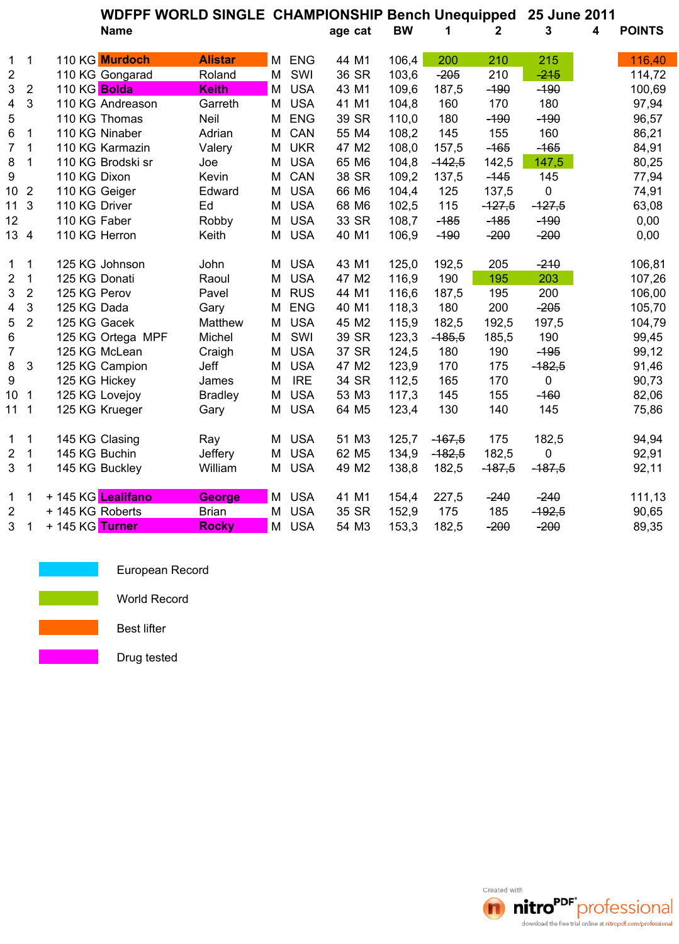|                  |                |                  | WDFPF WORLD SINGLE CHAMPIONSHIP Bench Unequipped |                |   |            |                   |           |          |              |             | 25 June 2011 |               |  |
|------------------|----------------|------------------|--------------------------------------------------|----------------|---|------------|-------------------|-----------|----------|--------------|-------------|--------------|---------------|--|
|                  |                |                  | <b>Name</b>                                      |                |   |            | age cat           | <b>BW</b> | 1        | $\mathbf{2}$ | 3           | 4            | <b>POINTS</b> |  |
| $\mathbf{1}$     | 1              |                  | 110 KG Murdoch                                   | <b>Alistar</b> |   | M ENG      | 44 M1             | 106,4     | 200      | 210          | 215         |              | 116,40        |  |
| $\overline{c}$   |                |                  | 110 KG Gongarad                                  | Roland         | M | SWI        | 36 SR             | 103,6     | $-205$   | 210          | $-215$      |              | 114,72        |  |
| 3                | $\overline{2}$ | 110 KG Bolda     |                                                  | <b>Keith</b>   | М | <b>USA</b> | 43 M1             | 109,6     | 187,5    | $-190$       | $-190$      |              | 100,69        |  |
| 4                | 3              |                  | 110 KG Andreason                                 | Garreth        | М | <b>USA</b> | 41 M1             | 104,8     | 160      | 170          | 180         |              | 97,94         |  |
| 5                |                |                  | 110 KG Thomas                                    | Neil           | М | <b>ENG</b> | 39 SR             | 110,0     | 180      | $-190$       | $-190$      |              | 96,57         |  |
| 6                | 1              |                  | 110 KG Ninaber                                   | Adrian         | М | CAN        | 55 M4             | 108,2     | 145      | 155          | 160         |              | 86,21         |  |
| $\overline{7}$   | 1              |                  | 110 KG Karmazin                                  | Valery         | M | <b>UKR</b> | 47 M2             | 108,0     | 157,5    | $-165$       | $-165$      |              | 84,91         |  |
| 8                | 1              |                  | 110 KG Brodski sr                                | Joe            | М | <b>USA</b> | 65 M6             | 104,8     | $-142,5$ | 142,5        | 147,5       |              | 80,25         |  |
| 9                |                | 110 KG Dixon     |                                                  | Kevin          | M | CAN        | 38 SR             | 109,2     | 137,5    | $-145$       | 145         |              | 77,94         |  |
| 10               | $\overline{2}$ | 110 KG Geiger    |                                                  | Edward         | М | <b>USA</b> | 66 M6             | 104,4     | 125      | 137,5        | $\mathbf 0$ |              | 74,91         |  |
| 11               | 3              | 110 KG Driver    |                                                  | Ed             | М | <b>USA</b> | 68 M6             | 102,5     | 115      | $-127,5$     | $-127,5$    |              | 63,08         |  |
| 12               |                | 110 KG Faber     |                                                  | Robby          | M | <b>USA</b> | 33 SR             | 108,7     | $-185$   | $-185$       | $-190$      |              | 0,00          |  |
| 13 4             |                | 110 KG Herron    |                                                  | Keith          | M | <b>USA</b> | 40 M1             | 106,9     | $-190$   | $-200$       | $-200$      |              | 0,00          |  |
| 1                | 1              |                  | 125 KG Johnson                                   | John           | М | <b>USA</b> | 43 M1             | 125,0     | 192,5    | 205          | $-210$      |              | 106,81        |  |
| 2                | 1              | 125 KG Donati    |                                                  | Raoul          | М | <b>USA</b> | 47 M2             | 116,9     | 190      | 195          | 203         |              | 107,26        |  |
| 3                | $\sqrt{2}$     | 125 KG Perov     |                                                  | Pavel          | М | <b>RUS</b> | 44 M1             | 116,6     | 187,5    | 195          | 200         |              | 106,00        |  |
| 4                | 3              | 125 KG Dada      |                                                  | Gary           | М | <b>ENG</b> | 40 M1             | 118,3     | 180      | 200          | $-205$      |              | 105,70        |  |
| 5                | $\overline{2}$ | 125 KG Gacek     |                                                  | Matthew        | M | <b>USA</b> | 45 M2             | 115,9     | 182,5    | 192,5        | 197,5       |              | 104,79        |  |
| 6                |                |                  | 125 KG Ortega MPF                                | Michel         | M | SWI        | 39 SR             | 123,3     | $-185,5$ | 185,5        | 190         |              | 99,45         |  |
| $\overline{7}$   |                |                  | 125 KG McLean                                    | Craigh         | M | <b>USA</b> | 37 SR             | 124,5     | 180      | 190          | $-495$      |              | 99,12         |  |
| 8                | 3              |                  | 125 KG Campion                                   | Jeff           | M | <b>USA</b> | 47 M2             | 123,9     | 170      | 175          | $-182,5$    |              | 91,46         |  |
| $\boldsymbol{9}$ |                | 125 KG Hickey    |                                                  | James          | M | <b>IRE</b> | 34 SR             | 112,5     | 165      | 170          | $\mathbf 0$ |              | 90,73         |  |
| 10 <sup>1</sup>  | 1              |                  | 125 KG Lovejoy                                   | <b>Bradley</b> | M | <b>USA</b> | 53 M3             | 117,3     | 145      | 155          | $-160$      |              | 82,06         |  |
| 111              |                |                  | 125 KG Krueger                                   | Gary           | М | <b>USA</b> | 64 M5             | 123,4     | 130      | 140          | 145         |              | 75,86         |  |
| 1                | 1              |                  | 145 KG Clasing                                   | Ray            | M | <b>USA</b> | 51 M3             | 125,7     | $-167,5$ | 175          | 182,5       |              | 94,94         |  |
| 2                | $\mathbf{1}$   | 145 KG Buchin    |                                                  | Jeffery        | М | <b>USA</b> | 62 M <sub>5</sub> | 134,9     | $-182,5$ | 182,5        | 0           |              | 92,91         |  |
| $\mathbf{3}$     | $\mathbf{1}$   |                  | 145 KG Buckley                                   | William        | М | <b>USA</b> | 49 M2             | 138,8     | 182,5    | $-187,5$     | $-187,5$    |              | 92,11         |  |
| $\mathbf{1}$     | 1              |                  | + 145 KG Lealifano                               | George         |   | M USA      | 41 M1             | 154,4     | 227,5    | $-240$       | $-240$      |              | 111,13        |  |
| $\overline{2}$   |                | + 145 KG Roberts |                                                  | <b>Brian</b>   | Μ | <b>USA</b> | 35 SR             | 152,9     | 175      | 185          | $-192,5$    |              | 90,65         |  |
| 3                | 1              | + 145 KG Turner  |                                                  | <b>Rocky</b>   |   | M USA      | 54 M3             | 153,3     | 182,5    | $-200$       | $-200$      |              | 89,35         |  |

European Record

World Record

Best lifter

Drug tested